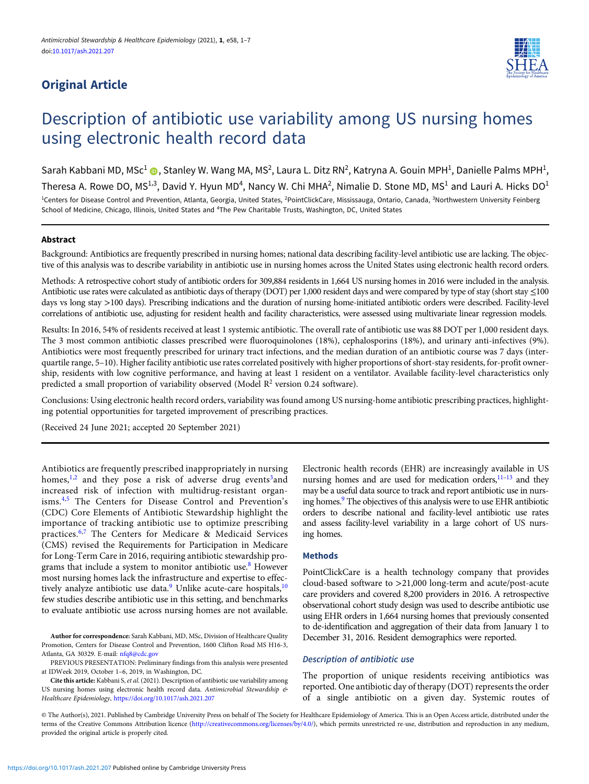# Original Article



# Description of antibiotic use variability among US nursing homes using electronic health record data

Sarah Kabbani MD, MSc<sup>1</sup> ( , Stanley W. Wang MA, MS<sup>2</sup>, Laura L. Ditz RN<sup>2</sup>, Katryna A. Gouin MPH<sup>1</sup>, Danielle Palms MPH<sup>1</sup>, Theresa A. Rowe DO, MS<sup>1,3</sup>, David Y. Hyun MD<sup>4</sup>, Nancy W. Chi MHA<sup>2</sup>, Nimalie D. Stone MD, MS<sup>1</sup> and Lauri A. Hicks DO<sup>1</sup> <sup>1</sup>Centers for Disease Control and Prevention, Atlanta, Georgia, United States, <sup>2</sup>PointClickCare, Mississauga, Ontario, Canada, <sup>3</sup>Northwestern University Feinberg School of Medicine, Chicago, Illinois, United States and <sup>4</sup>The Pew Charitable Trusts, Washington, DC, United States

# Abstract

Background: Antibiotics are frequently prescribed in nursing homes; national data describing facility-level antibiotic use are lacking. The objective of this analysis was to describe variability in antibiotic use in nursing homes across the United States using electronic health record orders.

Methods: A retrospective cohort study of antibiotic orders for 309,884 residents in 1,664 US nursing homes in 2016 were included in the analysis. Antibiotic use rates were calculated as antibiotic days of therapy (DOT) per 1,000 resident days and were compared by type of stay (short stay ≤100 days vs long stay >100 days). Prescribing indications and the duration of nursing home-initiated antibiotic orders were described. Facility-level correlations of antibiotic use, adjusting for resident health and facility characteristics, were assessed using multivariate linear regression models.

Results: In 2016, 54% of residents received at least 1 systemic antibiotic. The overall rate of antibiotic use was 88 DOT per 1,000 resident days. The 3 most common antibiotic classes prescribed were fluoroquinolones (18%), cephalosporins (18%), and urinary anti-infectives (9%). Antibiotics were most frequently prescribed for urinary tract infections, and the median duration of an antibiotic course was 7 days (interquartile range, 5–10). Higher facility antibiotic use rates correlated positively with higher proportions of short-stay residents, for-profit ownership, residents with low cognitive performance, and having at least 1 resident on a ventilator. Available facility-level characteristics only predicted a small proportion of variability observed (Model  $\mathbb{R}^2$  version 0.24 software).

Conclusions: Using electronic health record orders, variability was found among US nursing-home antibiotic prescribing practices, highlighting potential opportunities for targeted improvement of prescribing practices.

(Received 24 June 2021; accepted 20 September 2021)

Antibiotics are frequently prescribed inappropriately in nursing homes,<sup>[1,2](#page-5-0)</sup> and they pose a risk of adverse drug events<sup>[3](#page-5-0)</sup>and increased risk of infection with multidrug-resistant organisms.[4](#page-5-0),[5](#page-5-0) The Centers for Disease Control and Prevention's (CDC) Core Elements of Antibiotic Stewardship highlight the importance of tracking antibiotic use to optimize prescribing practices.[6,7](#page-5-0) The Centers for Medicare & Medicaid Services (CMS) revised the Requirements for Participation in Medicare for Long-Term Care in 2016, requiring antibiotic stewardship pro-grams that include a system to monitor antibiotic use.<sup>[8](#page-5-0)</sup> However most nursing homes lack the infrastructure and expertise to effec-tively analyze antibiotic use data.<sup>[9](#page-5-0)</sup> Unlike acute-care hospitals,<sup>[10](#page-5-0)</sup> few studies describe antibiotic use in this setting, and benchmarks to evaluate antibiotic use across nursing homes are not available.

Author for correspondence: Sarah Kabbani, MD, MSc, Division of Healthcare Quality Promotion, Centers for Disease Control and Prevention, 1600 Clifton Road MS H16-3, Atlanta, GA 30329. E-mail: [nfq8@cdc.gov](mailto:nfq8@cdc.gov)

PREVIOUS PRESENTATION: Preliminary findings from this analysis were presented at IDWeek 2019, October 1–6, 2019, in Washington, DC.

Cite this article: Kabbani S, et al. (2021). Description of antibiotic use variability among US nursing homes using electronic health record data. Antimicrobial Stewardship & Healthcare Epidemiology, <https://doi.org/10.1017/ash.2021.207>

Electronic health records (EHR) are increasingly available in US nursing homes and are used for medication orders,<sup>[11](#page-5-0)-[13](#page-5-0)</sup> and they may be a useful data source to track and report antibiotic use in nursing homes.<sup>9</sup> The objectives of this analysis were to use EHR antibiotic orders to describe national and facility-level antibiotic use rates and assess facility-level variability in a large cohort of US nursing homes.

# Methods

PointClickCare is a health technology company that provides cloud-based software to >21,000 long-term and acute/post-acute care providers and covered 8,200 providers in 2016. A retrospective observational cohort study design was used to describe antibiotic use using EHR orders in 1,664 nursing homes that previously consented to de-identification and aggregation of their data from January 1 to December 31, 2016. Resident demographics were reported.

# Description of antibiotic use

The proportion of unique residents receiving antibiotics was reported. One antibiotic day of therapy (DOT) represents the order of a single antibiotic on a given day. Systemic routes of

© The Author(s), 2021. Published by Cambridge University Press on behalf of The Society for Healthcare Epidemiology of America. This is an Open Access article, distributed under the terms of the Creative Commons Attribution licence ([http://creativecommons.org/licenses/by/4.0/\)](http://creativecommons.org/licenses/by/4.0/), which permits unrestricted re-use, distribution and reproduction in any medium, provided the original article is properly cited.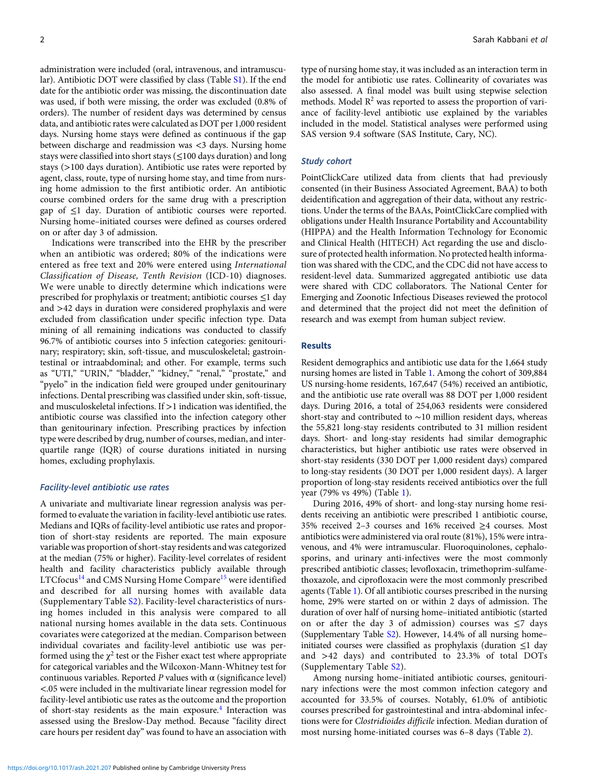administration were included (oral, intravenous, and intramuscular). Antibiotic DOT were classified by class (Table [S1](https://doi.org/10.1017/ash.2021.207)). If the end date for the antibiotic order was missing, the discontinuation date was used, if both were missing, the order was excluded (0.8% of orders). The number of resident days was determined by census data, and antibiotic rates were calculated as DOT per 1,000 resident days. Nursing home stays were defined as continuous if the gap between discharge and readmission was <3 days. Nursing home stays were classified into short stays (≤100 days duration) and long stays (>100 days duration). Antibiotic use rates were reported by agent, class, route, type of nursing home stay, and time from nursing home admission to the first antibiotic order. An antibiotic course combined orders for the same drug with a prescription gap of ≤1 day. Duration of antibiotic courses were reported. Nursing home–initiated courses were defined as courses ordered on or after day 3 of admission.

Indications were transcribed into the EHR by the prescriber when an antibiotic was ordered; 80% of the indications were entered as free text and 20% were entered using International Classification of Disease, Tenth Revision (ICD-10) diagnoses. We were unable to directly determine which indications were prescribed for prophylaxis or treatment; antibiotic courses ≤1 day and >42 days in duration were considered prophylaxis and were excluded from classification under specific infection type. Data mining of all remaining indications was conducted to classify 96.7% of antibiotic courses into 5 infection categories: genitourinary; respiratory; skin, soft-tissue, and musculoskeletal; gastrointestinal or intraabdominal; and other. For example, terms such as "UTI," "URIN," "bladder," "kidney," "renal," "prostate," and "pyelo" in the indication field were grouped under genitourinary infections. Dental prescribing was classified under skin, soft-tissue, and musculoskeletal infections. If >1 indication was identified, the antibiotic course was classified into the infection category other than genitourinary infection. Prescribing practices by infection type were described by drug, number of courses, median, and interquartile range (IQR) of course durations initiated in nursing homes, excluding prophylaxis.

#### Facility-level antibiotic use rates

A univariate and multivariate linear regression analysis was performed to evaluate the variation in facility-level antibiotic use rates. Medians and IQRs of facility-level antibiotic use rates and proportion of short-stay residents are reported. The main exposure variable was proportion of short-stay residents and was categorized at the median (75% or higher). Facility-level correlates of resident health and facility characteristics publicly available through LTCfocus<sup>[14](#page-5-0)</sup> and CMS Nursing Home Compare<sup>[15](#page-5-0)</sup> were identified and described for all nursing homes with available data (Supplementary Table [S2](https://doi.org/10.1017/ash.2021.207)). Facility-level characteristics of nursing homes included in this analysis were compared to all national nursing homes available in the data sets. Continuous covariates were categorized at the median. Comparison between individual covariates and facility-level antibiotic use was performed using the  $\chi^2$  test or the Fisher exact test where appropriate for categorical variables and the Wilcoxon-Mann-Whitney test for continuous variables. Reported  $P$  values with  $\alpha$  (significance level) <.05 were included in the multivariate linear regression model for facility-level antibiotic use rates as the outcome and the proportion of short-stay residents as the main exposure.<sup>[4](#page-5-0)</sup> Interaction was assessed using the Breslow-Day method. Because "facility direct care hours per resident day" was found to have an association with

type of nursing home stay, it was included as an interaction term in the model for antibiotic use rates. Collinearity of covariates was also assessed. A final model was built using stepwise selection methods. Model  $\mathbb{R}^2$  was reported to assess the proportion of variance of facility-level antibiotic use explained by the variables included in the model. Statistical analyses were performed using SAS version 9.4 software (SAS Institute, Cary, NC).

#### Study cohort

PointClickCare utilized data from clients that had previously consented (in their Business Associated Agreement, BAA) to both deidentification and aggregation of their data, without any restrictions. Under the terms of the BAAs, PointClickCare complied with obligations under Health Insurance Portability and Accountability (HIPPA) and the Health Information Technology for Economic and Clinical Health (HITECH) Act regarding the use and disclosure of protected health information. No protected health information was shared with the CDC, and the CDC did not have access to resident-level data. Summarized aggregated antibiotic use data were shared with CDC collaborators. The National Center for Emerging and Zoonotic Infectious Diseases reviewed the protocol and determined that the project did not meet the definition of research and was exempt from human subject review.

# Results

Resident demographics and antibiotic use data for the 1,664 study nursing homes are listed in Table [1](#page-2-0). Among the cohort of 309,884 US nursing-home residents, 167,647 (54%) received an antibiotic, and the antibiotic use rate overall was 88 DOT per 1,000 resident days. During 2016, a total of 254,063 residents were considered short-stay and contributed to ∼10 million resident days, whereas the 55,821 long-stay residents contributed to 31 million resident days. Short- and long-stay residents had similar demographic characteristics, but higher antibiotic use rates were observed in short-stay residents (330 DOT per 1,000 resident days) compared to long-stay residents (30 DOT per 1,000 resident days). A larger proportion of long-stay residents received antibiotics over the full year (79% vs 49%) (Table [1\)](#page-2-0).

During 2016, 49% of short- and long-stay nursing home residents receiving an antibiotic were prescribed 1 antibiotic course, 35% received 2–3 courses and 16% received ≥4 courses. Most antibiotics were administered via oral route (81%), 15% were intravenous, and 4% were intramuscular. Fluoroquinolones, cephalosporins, and urinary anti-infectives were the most commonly prescribed antibiotic classes; levofloxacin, trimethoprim-sulfamethoxazole, and ciprofloxacin were the most commonly prescribed agents (Table [1](#page-2-0)). Of all antibiotic courses prescribed in the nursing home, 29% were started on or within 2 days of admission. The duration of over half of nursing home–initiated antibiotic (started on or after the day 3 of admission) courses was ≤7 days (Supplementary Table [S2\)](https://doi.org/10.1017/ash.2021.207). However, 14.4% of all nursing home– initiated courses were classified as prophylaxis (duration ≤1 day and >42 days) and contributed to 23.3% of total DOTs (Supplementary Table [S2\)](https://doi.org/10.1017/ash.2021.207).

Among nursing home–initiated antibiotic courses, genitourinary infections were the most common infection category and accounted for 33.5% of courses. Notably, 61.0% of antibiotic courses prescribed for gastrointestinal and intra-abdominal infections were for Clostridioides difficile infection. Median duration of most nursing home-initiated courses was 6–8 days (Table [2](#page-3-0)).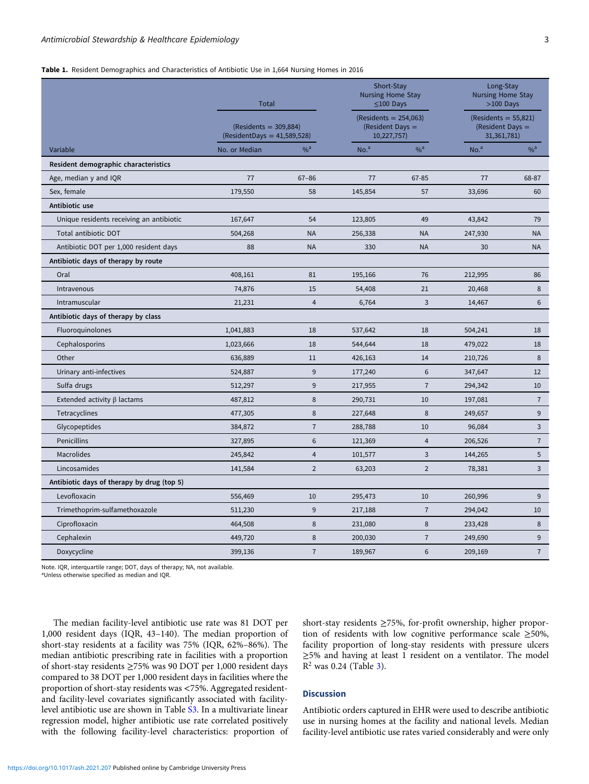#### <span id="page-2-0"></span>Table 1. Resident Demographics and Characteristics of Antibiotic Use in 1,664 Nursing Homes in 2016

|                                            | Total<br>$(Residents = 309,884)$<br>$(Resident Days = 41,589,528)$ |                   | Short-Stay<br><b>Nursing Home Stay</b><br>$\leq$ 100 Days<br>$(Residents = 254,063)$<br>(Resident Days =<br>10,227,757) |                | Long-Stay<br><b>Nursing Home Stay</b><br>$>100$ Days<br>$(Residents = 55,821)$<br>(Resident Days =<br>31,361,781) |                  |
|--------------------------------------------|--------------------------------------------------------------------|-------------------|-------------------------------------------------------------------------------------------------------------------------|----------------|-------------------------------------------------------------------------------------------------------------------|------------------|
|                                            |                                                                    |                   |                                                                                                                         |                |                                                                                                                   |                  |
| Variable                                   | No. or Median                                                      | $\%$ <sup>a</sup> | No. <sup>a</sup>                                                                                                        | $%^a$          | No. <sup>a</sup>                                                                                                  | $%$ <sup>a</sup> |
| Resident demographic characteristics       |                                                                    |                   |                                                                                                                         |                |                                                                                                                   |                  |
| Age, median y and IQR                      | 77                                                                 | $67 - 86$         | 77                                                                                                                      | 67-85          | 77                                                                                                                | 68-87            |
| Sex, female                                | 179,550                                                            | 58                | 145,854                                                                                                                 | 57             | 33,696                                                                                                            | 60               |
| Antibiotic use                             |                                                                    |                   |                                                                                                                         |                |                                                                                                                   |                  |
| Unique residents receiving an antibiotic   | 167,647                                                            | 54                | 123,805                                                                                                                 | 49             | 43,842                                                                                                            | 79               |
| Total antibiotic DOT                       | 504,268                                                            | <b>NA</b>         | 256,338                                                                                                                 | <b>NA</b>      | 247,930                                                                                                           | <b>NA</b>        |
| Antibiotic DOT per 1,000 resident days     | 88                                                                 | <b>NA</b>         | 330                                                                                                                     | <b>NA</b>      | 30                                                                                                                | <b>NA</b>        |
| Antibiotic days of therapy by route        |                                                                    |                   |                                                                                                                         |                |                                                                                                                   |                  |
| Oral                                       | 408,161                                                            | 81                | 195,166                                                                                                                 | 76             | 212,995                                                                                                           | 86               |
| Intravenous                                | 74,876                                                             | 15                | 54,408                                                                                                                  | 21             | 20,468                                                                                                            | 8                |
| Intramuscular                              | 21,231                                                             | $\overline{4}$    | 6,764                                                                                                                   | 3              | 14,467                                                                                                            | 6                |
| Antibiotic days of therapy by class        |                                                                    |                   |                                                                                                                         |                |                                                                                                                   |                  |
| Fluoroquinolones                           | 1,041,883                                                          | 18                | 537,642                                                                                                                 | 18             | 504,241                                                                                                           | 18               |
| Cephalosporins                             | 1,023,666                                                          | 18                | 544,644                                                                                                                 | 18             | 479,022                                                                                                           | 18               |
| Other                                      | 636,889                                                            | 11                | 426,163                                                                                                                 | 14             | 210,726                                                                                                           | 8                |
| Urinary anti-infectives                    | 524,887                                                            | 9                 | 177,240                                                                                                                 | 6              | 347,647                                                                                                           | 12               |
| Sulfa drugs                                | 512,297                                                            | 9                 | 217,955                                                                                                                 | $\overline{7}$ | 294,342                                                                                                           | 10               |
| Extended activity $\beta$ lactams          | 487,812                                                            | 8                 | 290,731                                                                                                                 | 10             | 197,081                                                                                                           | $\overline{7}$   |
| Tetracyclines                              | 477,305                                                            | 8                 | 227,648                                                                                                                 | 8              | 249,657                                                                                                           | 9                |
| Glycopeptides                              | 384,872                                                            | $\overline{7}$    | 288,788                                                                                                                 | 10             | 96,084                                                                                                            | 3                |
| Penicillins                                | 327,895                                                            | 6                 | 121,369                                                                                                                 | $\overline{4}$ | 206,526                                                                                                           | $\sqrt{7}$       |
| <b>Macrolides</b>                          | 245,842                                                            | 4                 | 101,577                                                                                                                 | $\overline{3}$ | 144,265                                                                                                           | 5                |
| Lincosamides                               | 141,584                                                            | $\overline{2}$    | 63,203                                                                                                                  | $\overline{2}$ | 78,381                                                                                                            | 3                |
| Antibiotic days of therapy by drug (top 5) |                                                                    |                   |                                                                                                                         |                |                                                                                                                   |                  |
| Levofloxacin                               | 556,469                                                            | 10                | 295,473                                                                                                                 | 10             | 260,996                                                                                                           | 9                |
| Trimethoprim-sulfamethoxazole              | 511,230                                                            | 9                 | 217,188                                                                                                                 | $\overline{7}$ | 294,042                                                                                                           | 10               |
| Ciprofloxacin                              | 464,508                                                            | 8                 | 231,080                                                                                                                 | 8              | 233,428                                                                                                           | 8                |
| Cephalexin                                 | 449,720                                                            | 8                 | 200,030                                                                                                                 | $\overline{7}$ | 249,690                                                                                                           | 9                |
| Doxycycline                                | 399,136                                                            | $\overline{7}$    | 189,967                                                                                                                 | 6              | 209,169                                                                                                           | $\overline{7}$   |

Note. IQR, interquartile range; DOT, days of therapy; NA, not available.

<sup>a</sup>Unless otherwise specified as median and IQR.

The median facility-level antibiotic use rate was 81 DOT per 1,000 resident days (IQR, 43–140). The median proportion of short-stay residents at a facility was 75% (IQR, 62%–86%). The median antibiotic prescribing rate in facilities with a proportion of short-stay residents ≥75% was 90 DOT per 1,000 resident days compared to 38 DOT per 1,000 resident days in facilities where the proportion of short-stay residents was <75%. Aggregated residentand facility-level covariates significantly associated with facilitylevel antibiotic use are shown in Table [S3.](https://doi.org/10.1017/ash.2021.207) In a multivariate linear regression model, higher antibiotic use rate correlated positively with the following facility-level characteristics: proportion of

# short-stay residents ≥75%, for-profit ownership, higher proportion of residents with low cognitive performance scale ≥50%, facility proportion of long-stay residents with pressure ulcers ≥5% and having at least 1 resident on a ventilator. The model  $R^2$  was 0.24 (Table [3](#page-4-0)).

### **Discussion**

Antibiotic orders captured in EHR were used to describe antibiotic use in nursing homes at the facility and national levels. Median facility-level antibiotic use rates varied considerably and were only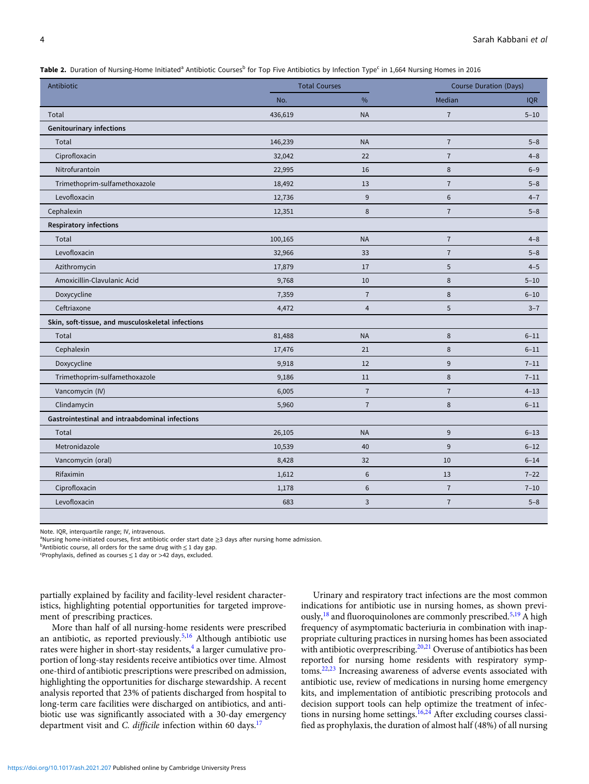<span id="page-3-0"></span>Table 2. Duration of Nursing-Home Initiated<sup>a</sup> Antibiotic Courses<sup>b</sup> for Top Five Antibiotics by Infection Type<sup>c</sup> in 1,664 Nursing Homes in 2016

|                                                   | No.     |                |                | <b>Course Duration (Days)</b> |  |
|---------------------------------------------------|---------|----------------|----------------|-------------------------------|--|
|                                                   |         | %              | Median         | <b>IQR</b>                    |  |
| Total                                             | 436,619 | <b>NA</b>      | $\overline{7}$ | $5 - 10$                      |  |
| <b>Genitourinary infections</b>                   |         |                |                |                               |  |
| Total                                             | 146,239 | <b>NA</b>      | $\overline{7}$ | $5 - 8$                       |  |
| Ciprofloxacin                                     | 32,042  | 22             | $\overline{7}$ | $4 - 8$                       |  |
| Nitrofurantoin                                    | 22,995  | 16             | 8              | $6 - 9$                       |  |
| Trimethoprim-sulfamethoxazole                     | 18,492  | 13             | $\overline{7}$ | $5 - 8$                       |  |
| Levofloxacin                                      | 12,736  | 9              | 6              | $4 - 7$                       |  |
| Cephalexin                                        | 12,351  | 8              | $\overline{7}$ | $5 - 8$                       |  |
| <b>Respiratory infections</b>                     |         |                |                |                               |  |
| Total                                             | 100,165 | <b>NA</b>      | $\overline{7}$ | $4 - 8$                       |  |
| Levofloxacin                                      | 32,966  | 33             | $\overline{7}$ | $5 - 8$                       |  |
| Azithromycin                                      | 17,879  | 17             | 5              | $4 - 5$                       |  |
| Amoxicillin-Clavulanic Acid                       | 9,768   | 10             | 8              | $5 - 10$                      |  |
| Doxycycline                                       | 7,359   | $\overline{7}$ | 8              | $6 - 10$                      |  |
| Ceftriaxone                                       | 4,472   | 4              | 5              | $3 - 7$                       |  |
| Skin, soft-tissue, and musculoskeletal infections |         |                |                |                               |  |
| Total                                             | 81,488  | <b>NA</b>      | 8              | $6 - 11$                      |  |
| Cephalexin                                        | 17,476  | 21             | 8              | $6 - 11$                      |  |
| Doxycycline                                       | 9,918   | 12             | 9              | $7 - 11$                      |  |
| Trimethoprim-sulfamethoxazole                     | 9,186   | 11             | 8              | $7 - 11$                      |  |
| Vancomycin (IV)                                   | 6,005   | $\overline{7}$ | $\overline{7}$ | $4 - 13$                      |  |
| Clindamycin                                       | 5,960   | $\overline{7}$ | 8              | $6 - 11$                      |  |
| Gastrointestinal and intraabdominal infections    |         |                |                |                               |  |
| Total                                             | 26,105  | <b>NA</b>      | 9              | $6 - 13$                      |  |
| Metronidazole                                     | 10,539  | 40             | 9              | $6 - 12$                      |  |
| Vancomycin (oral)                                 | 8,428   | 32             | 10             | $6 - 14$                      |  |
| Rifaximin                                         | 1,612   | 6              | 13             | $7 - 22$                      |  |
| Ciprofloxacin                                     | 1,178   | 6              | $\overline{7}$ | $7 - 10$                      |  |
| Levofloxacin                                      | 683     | 3              | $\overline{7}$ | $5 - 8$                       |  |

Note. IQR, interquartile range; IV, intravenous.

<sup>a</sup>Nursing home-initiated courses, first antibiotic order start date ≥3 days after nursing home admission.

 $b$ Antibiotic course, all orders for the same drug with  $\leq 1$  day gap.

 $c$ Prophylaxis, defined as courses  $\leq$  1 day or >42 days, excluded.

partially explained by facility and facility-level resident characteristics, highlighting potential opportunities for targeted improvement of prescribing practices.

More than half of all nursing-home residents were prescribed an antibiotic, as reported previously.<sup>[5,16](#page-5-0)</sup> Although antibiotic use rates were higher in short-stay residents,<sup>[4](#page-5-0)</sup> a larger cumulative proportion of long-stay residents receive antibiotics over time. Almost one-third of antibiotic prescriptions were prescribed on admission, highlighting the opportunities for discharge stewardship. A recent analysis reported that 23% of patients discharged from hospital to long-term care facilities were discharged on antibiotics, and antibiotic use was significantly associated with a 30-day emergency department visit and C. difficile infection within 60 days.<sup>[17](#page-5-0)</sup>

Urinary and respiratory tract infections are the most common indications for antibiotic use in nursing homes, as shown previously,  $^{18}$  $^{18}$  $^{18}$  and fluoroquinolones are commonly prescribed.<sup>[5,19](#page-5-0)</sup> A high frequency of asymptomatic bacteriuria in combination with inappropriate culturing practices in nursing homes has been associated with antibiotic overprescribing.<sup>[20](#page-5-0),[21](#page-5-0)</sup> Overuse of antibiotics has been reported for nursing home residents with respiratory symptoms.[22,23](#page-5-0) Increasing awareness of adverse events associated with antibiotic use, review of medications in nursing home emergency kits, and implementation of antibiotic prescribing protocols and decision support tools can help optimize the treatment of infec-tions in nursing home settings.<sup>[16](#page-5-0),[24](#page-5-0)</sup> After excluding courses classified as prophylaxis, the duration of almost half (48%) of all nursing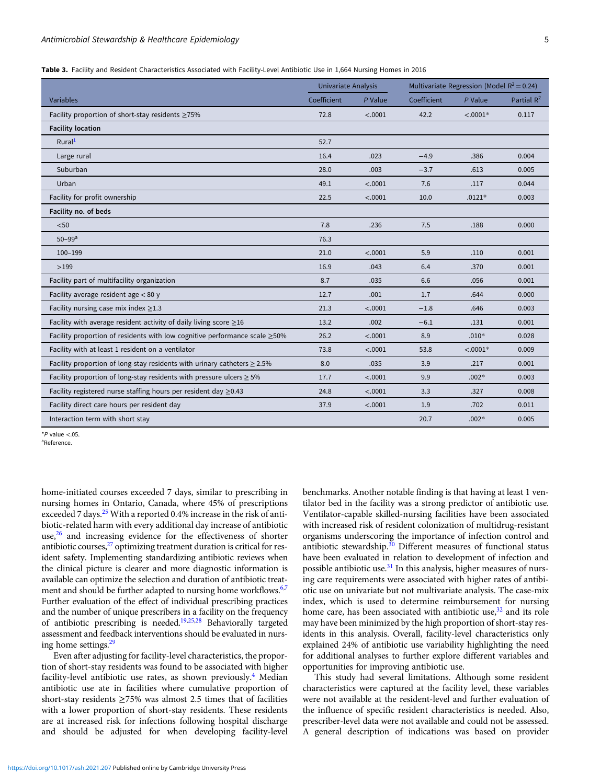<span id="page-4-0"></span>Table 3. Facility and Resident Characteristics Associated with Facility-Level Antibiotic Use in 1,664 Nursing Homes in 2016

|                                                                                  | Univariate Analysis |           | Multivariate Regression (Model $R^2 = 0.24$ ) |            |               |
|----------------------------------------------------------------------------------|---------------------|-----------|-----------------------------------------------|------------|---------------|
| Variables                                                                        | Coefficient         | $P$ Value | Coefficient                                   | $P$ Value  | Partial $R^2$ |
| Facility proportion of short-stay residents $\geq 75\%$                          | 72.8                | < .0001   | 42.2                                          | $< .0001*$ | 0.117         |
| <b>Facility location</b>                                                         |                     |           |                                               |            |               |
| Rural <sup>1</sup>                                                               | 52.7                |           |                                               |            |               |
| Large rural                                                                      | 16.4                | .023      | $-4.9$                                        | .386       | 0.004         |
| Suburban                                                                         | 28.0                | .003      | $-3.7$                                        | .613       | 0.005         |
| Urban                                                                            | 49.1                | < .0001   | 7.6                                           | .117       | 0.044         |
| Facility for profit ownership                                                    | 22.5                | < .0001   | 10.0                                          | $.0121*$   | 0.003         |
| Facility no. of beds                                                             |                     |           |                                               |            |               |
| $50$                                                                             | 7.8                 | .236      | 7.5                                           | .188       | 0.000         |
| $50 - 99$ <sup>a</sup>                                                           | 76.3                |           |                                               |            |               |
| $100 - 199$                                                                      | 21.0                | < .0001   | 5.9                                           | .110       | 0.001         |
| >199                                                                             | 16.9                | .043      | 6.4                                           | .370       | 0.001         |
| Facility part of multifacility organization                                      | 8.7                 | .035      | 6.6                                           | .056       | 0.001         |
| Facility average resident age $< 80$ y                                           | 12.7                | .001      | 1.7                                           | .644       | 0.000         |
| Facility nursing case mix index $\geq$ 1.3                                       | 21.3                | < .0001   | $-1.8$                                        | .646       | 0.003         |
| Facility with average resident activity of daily living score $\geq$ 16          | 13.2                | .002      | $-6.1$                                        | .131       | 0.001         |
| Facility proportion of residents with low cognitive performance scale $\geq$ 50% | 26.2                | < .0001   | 8.9                                           | $.010*$    | 0.028         |
| Facility with at least 1 resident on a ventilator                                | 73.8                | < .0001   | 53.8                                          | $< .0001*$ | 0.009         |
| Facility proportion of long-stay residents with urinary catheters $\geq 2.5\%$   | 8.0                 | .035      | 3.9                                           | .217       | 0.001         |
| Facility proportion of long-stay residents with pressure ulcers $\geq 5\%$       | 17.7                | < .0001   | 9.9                                           | $.002*$    | 0.003         |
| Facility registered nurse staffing hours per resident day $\geq$ 0.43            | 24.8                | < .0001   | 3.3                                           | .327       | 0.008         |
| Facility direct care hours per resident day                                      | 37.9                | < .0001   | 1.9                                           | .702       | 0.011         |
| Interaction term with short stay                                                 |                     |           | 20.7                                          | $.002*$    | 0.005         |

 $*P$  value <.05.

aReference.

home-initiated courses exceeded 7 days, similar to prescribing in nursing homes in Ontario, Canada, where 45% of prescriptions exceeded 7 days.<sup>[25](#page-5-0)</sup> With a reported 0.4% increase in the risk of antibiotic-related harm with every additional day increase of antibiotic use, $26$  and increasing evidence for the effectiveness of shorter antibiotic courses,<sup>27</sup> optimizing treatment duration is critical for resident safety. Implementing standardizing antibiotic reviews when the clinical picture is clearer and more diagnostic information is available can optimize the selection and duration of antibiotic treat-ment and should be further adapted to nursing home workflows.<sup>6,[7](#page-5-0)</sup> Further evaluation of the effect of individual prescribing practices and the number of unique prescribers in a facility on the frequency of antibiotic prescribing is needed[.19,25](#page-5-0),[28](#page-5-0) Behaviorally targeted assessment and feedback interventions should be evaluated in nursing home settings[.29](#page-6-0)

Even after adjusting for facility-level characteristics, the proportion of short-stay residents was found to be associated with higher facility-level antibiotic use rates, as shown previously.<sup>[4](#page-5-0)</sup> Median antibiotic use ate in facilities where cumulative proportion of short-stay residents ≥75% was almost 2.5 times that of facilities with a lower proportion of short-stay residents. These residents are at increased risk for infections following hospital discharge and should be adjusted for when developing facility-level

benchmarks. Another notable finding is that having at least 1 ventilator bed in the facility was a strong predictor of antibiotic use. Ventilator-capable skilled-nursing facilities have been associated with increased risk of resident colonization of multidrug-resistant organisms underscoring the importance of infection control and antibiotic stewardship.<sup>[30](#page-6-0)</sup> Different measures of functional status have been evaluated in relation to development of infection and possible antibiotic use.<sup>[31](#page-6-0)</sup> In this analysis, higher measures of nursing care requirements were associated with higher rates of antibiotic use on univariate but not multivariate analysis. The case-mix index, which is used to determine reimbursement for nursing home care, has been associated with antibiotic use,<sup>[32](#page-6-0)</sup> and its role may have been minimized by the high proportion of short-stay residents in this analysis. Overall, facility-level characteristics only explained 24% of antibiotic use variability highlighting the need for additional analyses to further explore different variables and opportunities for improving antibiotic use.

This study had several limitations. Although some resident characteristics were captured at the facility level, these variables were not available at the resident-level and further evaluation of the influence of specific resident characteristics is needed. Also, prescriber-level data were not available and could not be assessed. A general description of indications was based on provider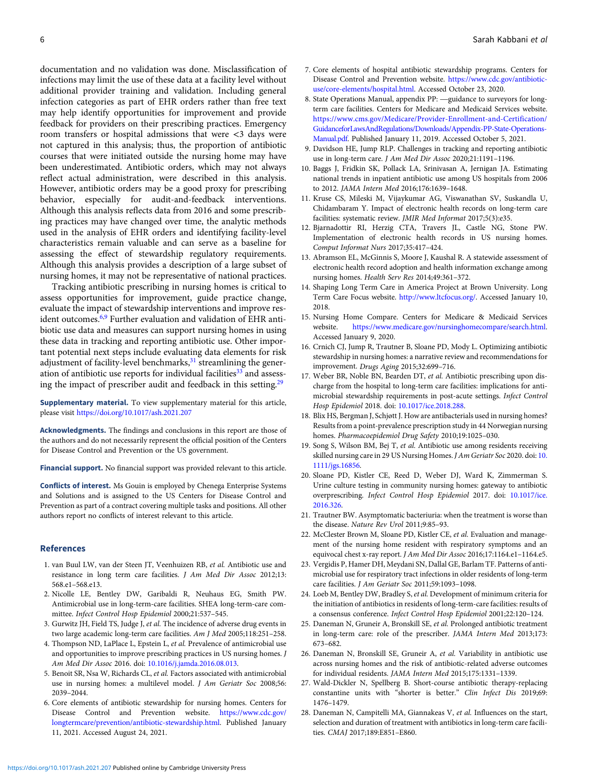<span id="page-5-0"></span>documentation and no validation was done. Misclassification of infections may limit the use of these data at a facility level without additional provider training and validation. Including general infection categories as part of EHR orders rather than free text may help identify opportunities for improvement and provide feedback for providers on their prescribing practices. Emergency room transfers or hospital admissions that were <3 days were not captured in this analysis; thus, the proportion of antibiotic courses that were initiated outside the nursing home may have been underestimated. Antibiotic orders, which may not always reflect actual administration, were described in this analysis. However, antibiotic orders may be a good proxy for prescribing behavior, especially for audit-and-feedback interventions. Although this analysis reflects data from 2016 and some prescribing practices may have changed over time, the analytic methods used in the analysis of EHR orders and identifying facility-level characteristics remain valuable and can serve as a baseline for assessing the effect of stewardship regulatory requirements. Although this analysis provides a description of a large subset of nursing homes, it may not be representative of national practices.

Tracking antibiotic prescribing in nursing homes is critical to assess opportunities for improvement, guide practice change, evaluate the impact of stewardship interventions and improve resident outcomes.6,9 Further evaluation and validation of EHR antibiotic use data and measures can support nursing homes in using these data in tracking and reporting antibiotic use. Other important potential next steps include evaluating data elements for risk adjustment of facility-level benchmarks, $31$  streamlining the generation of antibiotic use reports for individual facilities $33$  and assessing the impact of prescriber audit and feedback in this setting. $29$ 

Supplementary material. To view supplementary material for this article, please visit <https://doi.org/10.1017/ash.2021.207>

Acknowledgments. The findings and conclusions in this report are those of the authors and do not necessarily represent the official position of the Centers for Disease Control and Prevention or the US government.

Financial support. No financial support was provided relevant to this article.

Conflicts of interest. Ms Gouin is employed by Chenega Enterprise Systems and Solutions and is assigned to the US Centers for Disease Control and Prevention as part of a contract covering multiple tasks and positions. All other authors report no conflicts of interest relevant to this article.

#### References

- 1. van Buul LW, van der Steen JT, Veenhuizen RB, et al. Antibiotic use and resistance in long term care facilities. J Am Med Dir Assoc 2012;13: 568.e1–568.e13.
- 2. Nicolle LE, Bentley DW, Garibaldi R, Neuhaus EG, Smith PW. Antimicrobial use in long-term-care facilities. SHEA long-term-care committee. Infect Control Hosp Epidemiol 2000;21:537–545.
- 3. Gurwitz JH, Field TS, Judge J, et al. The incidence of adverse drug events in two large academic long-term care facilities. Am J Med 2005;118:251-258.
- 4. Thompson ND, LaPlace L, Epstein L, et al. Prevalence of antimicrobial use and opportunities to improve prescribing practices in US nursing homes. J Am Med Dir Assoc 2016. doi: [10.1016/j.jamda.2016.08.013.](https://doi.org/10.1016/j.jamda.2016.08.013)
- 5. Benoit SR, Nsa W, Richards CL, et al. Factors associated with antimicrobial use in nursing homes: a multilevel model. J Am Geriatr Soc 2008;56: 2039–2044.
- 6. Core elements of antibiotic stewardship for nursing homes. Centers for Disease Control and Prevention website. [https://www.cdc.gov/](https://www.cdc.gov/longtermcare/prevention/antibiotic-stewardship.html) [longtermcare/prevention/antibiotic-stewardship.html](https://www.cdc.gov/longtermcare/prevention/antibiotic-stewardship.html). Published January 11, 2021. Accessed August 24, 2021.
- 7. Core elements of hospital antibiotic stewardship programs. Centers for Disease Control and Prevention website. [https://www.cdc.gov/antibiotic](https://www.cdc.gov/antibiotic-use/core-elements/hospital.html)[use/core-elements/hospital.html.](https://www.cdc.gov/antibiotic-use/core-elements/hospital.html) Accessed October 23, 2020.
- 8. State Operations Manual, appendix PP: —guidance to surveyors for longterm care facilities. Centers for Medicare and Medicaid Services website. [https://www.cms.gov/Medicare/Provider-Enrollment-and-Certification/](https://www.cms.gov/Medicare/Provider-Enrollment-and-Certification/GuidanceforLawsAndRegulations/Downloads/Appendix-PP-State-Operations-Manual.pdf) [GuidanceforLawsAndRegulations/Downloads/Appendix-PP-State-Operations-](https://www.cms.gov/Medicare/Provider-Enrollment-and-Certification/GuidanceforLawsAndRegulations/Downloads/Appendix-PP-State-Operations-Manual.pdf)[Manual.pdf](https://www.cms.gov/Medicare/Provider-Enrollment-and-Certification/GuidanceforLawsAndRegulations/Downloads/Appendix-PP-State-Operations-Manual.pdf). Published January 11, 2019. Accessed October 5, 2021.
- 9. Davidson HE, Jump RLP. Challenges in tracking and reporting antibiotic use in long-term care. J Am Med Dir Assoc 2020;21:1191–1196.
- 10. Baggs J, Fridkin SK, Pollack LA, Srinivasan A, Jernigan JA. Estimating national trends in inpatient antibiotic use among US hospitals from 2006 to 2012. JAMA Intern Med 2016;176:1639–1648.
- 11. Kruse CS, Mileski M, Vijaykumar AG, Viswanathan SV, Suskandla U, Chidambaram Y. Impact of electronic health records on long-term care facilities: systematic review. JMIR Med Informat 2017;5(3):e35.
- 12. Bjarnadottir RI, Herzig CTA, Travers JL, Castle NG, Stone PW. Implementation of electronic health records in US nursing homes. Comput Informat Nurs 2017;35:417–424.
- 13. Abramson EL, McGinnis S, Moore J, Kaushal R. A statewide assessment of electronic health record adoption and health information exchange among nursing homes. Health Serv Res 2014;49:361–372.
- 14. Shaping Long Term Care in America Project at Brown University. Long Term Care Focus website. [http://www.ltcfocus.org/.](http://www.ltcfocus.org/) Accessed January 10, 2018.
- 15. Nursing Home Compare. Centers for Medicare & Medicaid Services website. [https://www.medicare.gov/nursinghomecompare/search.html.](https://www.medicare.gov/nursinghomecompare/search.html) Accessed January 9, 2020.
- 16. Crnich CJ, Jump R, Trautner B, Sloane PD, Mody L. Optimizing antibiotic stewardship in nursing homes: a narrative review and recommendations for improvement. Drugs Aging 2015;32:699–716.
- 17. Weber BR, Noble BN, Bearden DT, et al. Antibiotic prescribing upon discharge from the hospital to long-term care facilities: implications for antimicrobial stewardship requirements in post-acute settings. Infect Control Hosp Epidemiol 2018. doi: [10.1017/ice.2018.288.](https://doi.org/10.1017/ice.2018.288)
- 18. Blix HS, Bergman J, Schjøtt J. How are antibacterials used in nursing homes? Results from a point-prevalence prescription study in 44 Norwegian nursing homes. Pharmacoepidemiol Drug Safety 2010;19:1025–030.
- 19. Song S, Wilson BM, Bej T, et al. Antibiotic use among residents receiving skilled nursing care in 29 US Nursing Homes. J Am Geriatr Soc 2020. doi: [10.](https://doi.org/10.1111/jgs.16856) [1111/jgs.16856.](https://doi.org/10.1111/jgs.16856)
- 20. Sloane PD, Kistler CE, Reed D, Weber DJ, Ward K, Zimmerman S. Urine culture testing in community nursing homes: gateway to antibiotic overprescribing. Infect Control Hosp Epidemiol 2017. doi: [10.1017/ice.](https://doi.org/10.1017/ice.2016.326) [2016.326.](https://doi.org/10.1017/ice.2016.326)
- 21. Trautner BW. Asymptomatic bacteriuria: when the treatment is worse than the disease. Nature Rev Urol 2011;9:85–93.
- 22. McClester Brown M, Sloane PD, Kistler CE, et al. Evaluation and management of the nursing home resident with respiratory symptoms and an equivocal chest x-ray report. J Am Med Dir Assoc 2016;17:1164.e1–1164.e5.
- 23. Vergidis P, Hamer DH, Meydani SN, Dallal GE, Barlam TF. Patterns of antimicrobial use for respiratory tract infections in older residents of long-term care facilities. J Am Geriatr Soc 2011;59:1093–1098.
- 24. Loeb M, Bentley DW, Bradley S, et al. Development of minimum criteria for the initiation of antibiotics in residents of long-term-care facilities: results of a consensus conference. Infect Control Hosp Epidemiol 2001;22:120–124.
- 25. Daneman N, Gruneir A, Bronskill SE, et al. Prolonged antibiotic treatment in long-term care: role of the prescriber. JAMA Intern Med 2013;173: 673–682.
- 26. Daneman N, Bronskill SE, Gruneir A, et al. Variability in antibiotic use across nursing homes and the risk of antibiotic-related adverse outcomes for individual residents. JAMA Intern Med 2015;175:1331–1339.
- 27. Wald-Dickler N, Spellberg B. Short-course antibiotic therapy-replacing constantine units with "shorter is better." Clin Infect Dis 2019;69: 1476–1479.
- 28. Daneman N, Campitelli MA, Giannakeas V, et al. Influences on the start, selection and duration of treatment with antibiotics in long-term care facilities. CMAJ 2017;189:E851–E860.